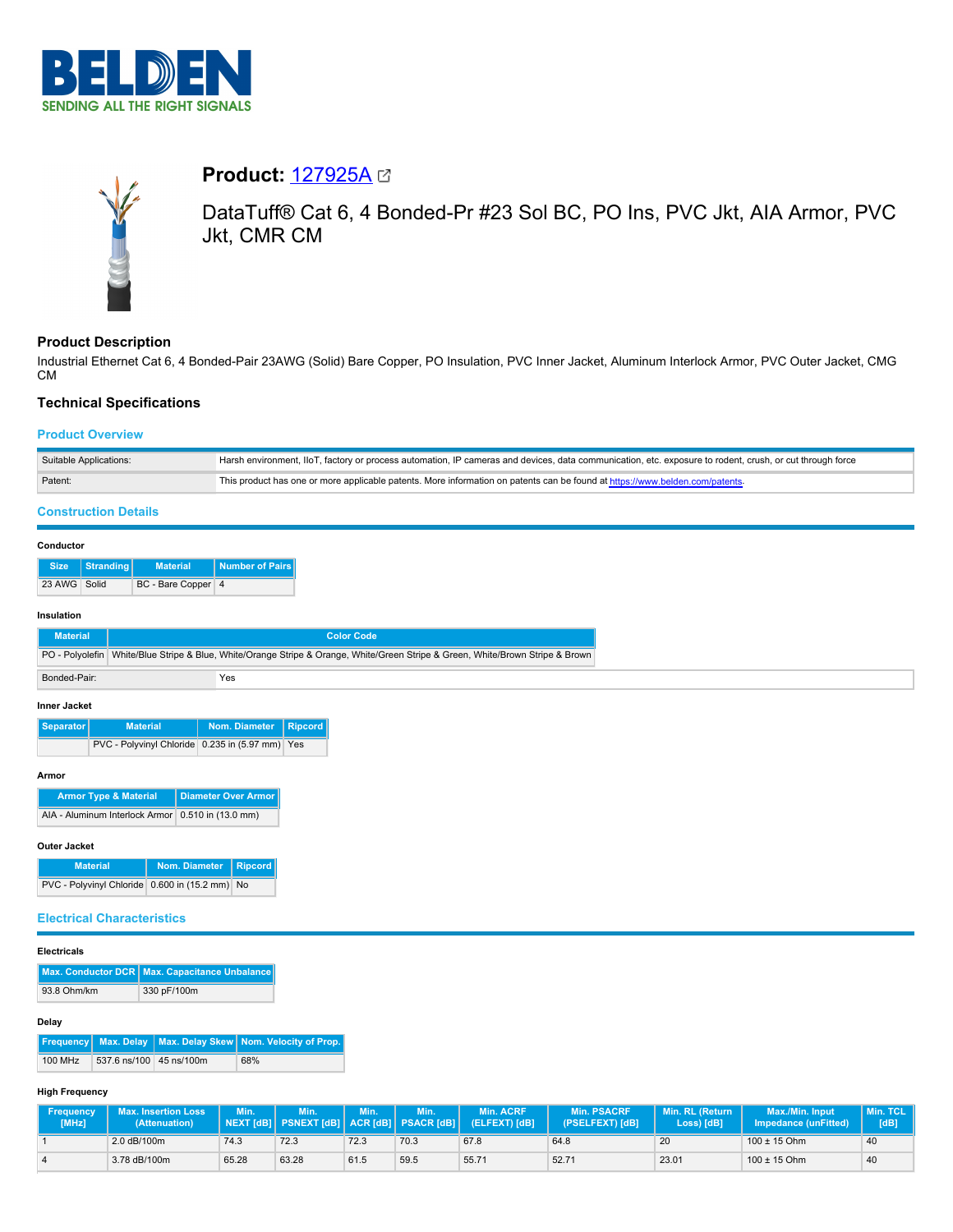



# **Product:** [127925A](https://catalog.belden.com/index.cfm?event=pd&p=PF_127925A&tab=downloads)

DataTuff® Cat 6, 4 Bonded-Pr #23 Sol BC, PO Ins, PVC Jkt, AIA Armor, PVC Jkt, CMR CM

# **Product Description**

Industrial Ethernet Cat 6, 4 Bonded-Pair 23AWG (Solid) Bare Copper, PO Insulation, PVC Inner Jacket, Aluminum Interlock Armor, PVC Outer Jacket, CMG CM

# **Technical Specifications**

# **Product Overview**

| Suitable Applications: | Harsh environment, IIoT, factory or process automation, IP cameras and devices, data communication, etc. exposure to rodent, crush, or cut through force |
|------------------------|----------------------------------------------------------------------------------------------------------------------------------------------------------|
| Patent:                | This product has one or more applicable patents. More information on patents can be found at https://www.belden.com/patents-                             |

# **Construction Details**

## **Conductor**

|              | Size   Stranding | <b>Material</b>    | Number of Pairs |
|--------------|------------------|--------------------|-----------------|
| 23 AWG Solid |                  | BC - Bare Copper 4 |                 |

## **Insulation**

| <b>Material</b> | <b>Color Code</b> |                                                                                                                                  |  |  |  |
|-----------------|-------------------|----------------------------------------------------------------------------------------------------------------------------------|--|--|--|
|                 |                   | PO - Polyolefin   White/Blue Stripe & Blue, White/Orange Stripe & Orange, White/Green Stripe & Green, White/Brown Stripe & Brown |  |  |  |
| Bonded-Pair:    |                   | Yes                                                                                                                              |  |  |  |
| Innor Isokot    |                   |                                                                                                                                  |  |  |  |

#### **Inner Jacket**

| Separator | <b>Material</b>                                 | Nom. Diameter   Ripcord |  |
|-----------|-------------------------------------------------|-------------------------|--|
|           | PVC - Polyvinyl Chloride 0.235 in (5.97 mm) Yes |                         |  |

#### **Armor**

| <b>Armor Type &amp; Material</b>                    | <b>Diameter Over Armor</b> |
|-----------------------------------------------------|----------------------------|
| AIA - Aluminum Interlock Armor   0.510 in (13.0 mm) |                            |

## **Outer Jacket**

| <b>Material</b>                                | Nom. Diameter   Ripcord |  |
|------------------------------------------------|-------------------------|--|
| PVC - Polyvinyl Chloride 0.600 in (15.2 mm) No |                         |  |

# **Electrical Characteristics**

### **Electricals**

|             | Max. Conductor DCR   Max. Capacitance Unbalance |
|-------------|-------------------------------------------------|
| 93.8 Ohm/km | 330 pF/100m                                     |

# **Delay**

|         |                         | <b>Frequency</b> Max. Delay Max. Delay Skew Nom. Velocity of Prop. |
|---------|-------------------------|--------------------------------------------------------------------|
| 100 MHz | 537.6 ns/100 45 ns/100m | 68%                                                                |

### **High Frequency**

| <b>Frequency</b><br>[MHz] | <b>Max. Insertion Loss</b><br>(Attenuation) | Min.  | Min<br>  NEXT [dB]   PSNEXT [dB]   ACR [dB]   PSACR [dB] | Min. | Min. | <b>Min. ACRF</b><br>(ELFEXT) [dB] | <b>Min. PSACRF</b><br>(PSELFEXT) [dB] | Min. RL (Return<br>Loss) [dB] | Max./Min. Input<br><b>Impedance (unFitted)</b> | Min. TCL<br>[dB] |
|---------------------------|---------------------------------------------|-------|----------------------------------------------------------|------|------|-----------------------------------|---------------------------------------|-------------------------------|------------------------------------------------|------------------|
|                           | 2.0 dB/100m                                 | 74.3  | 72.3                                                     | 72.3 | 70.3 | 67.8                              | 64.8                                  | 20                            | $100 \pm 15$ Ohm                               | 40               |
|                           | 3.78 dB/100m                                | 65.28 | 63.28                                                    | 61.5 | 59.5 | 55.71                             | 52.71                                 | 23.01                         | $100 \pm 15$ Ohm                               | 40               |